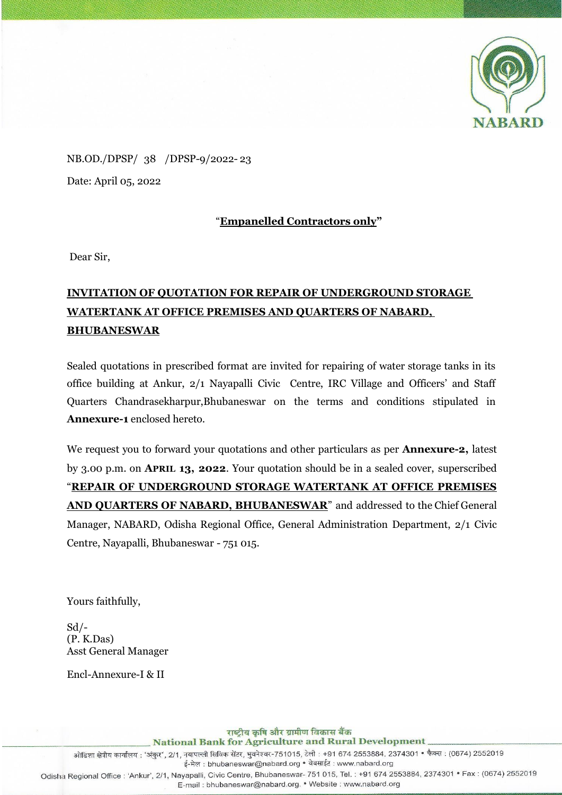

NB.OD./DPSP/ 38 /DPSP-9/2022- 23 Date: April 05, 2022

### "**Empanelled Contractors only"**

Dear Sir,

# **INVITATION OF QUOTATION FOR REPAIR OF UNDERGROUND STORAGE WATERTANK AT OFFICE PREMISES AND QUARTERS OF NABARD, BHUBANESWAR**

Sealed quotations in prescribed format are invited for repairing of water storage tanks in its office building at Ankur, 2/1 Nayapalli Civic Centre, IRC Village and Officers' and Staff Quarters Chandrasekharpur,Bhubaneswar on the terms and conditions stipulated in **Annexure-1** enclosed hereto.

We request you to forward your quotations and other particulars as per **Annexure-2,** latest by 3.00 p.m. on **APRIL 13, 2022**. Your quotation should be in a sealed cover, superscribed "**REPAIR OF UNDERGROUND STORAGE WATERTANK AT OFFICE PREMISES AND QUARTERS OF NABARD, BHUBANESWAR**" and addressed to the Chief General Manager, NABARD, Odisha Regional Office, General Administration Department, 2/1 Civic Centre, Nayapalli, Bhubaneswar - 751 015.

Yours faithfully,

 $Sd$  /-(P. K.Das) Asst General Manager

Encl-Annexure-I & II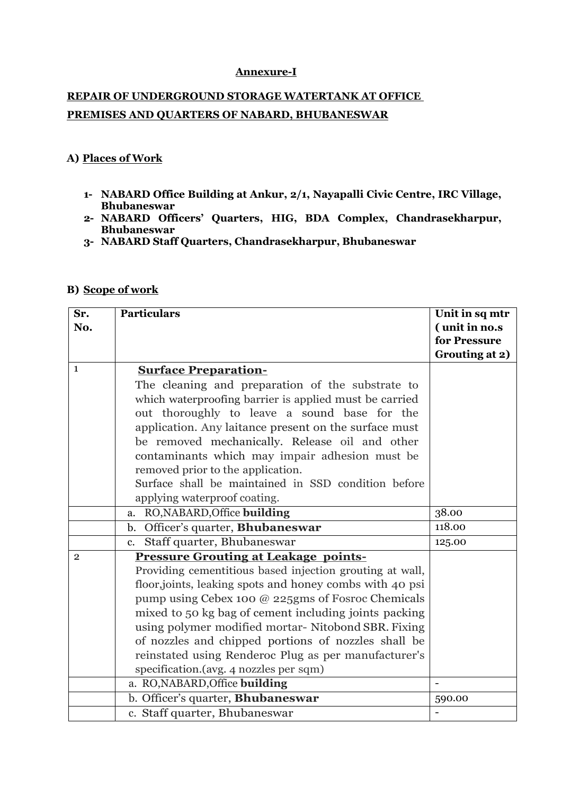#### **Annexure-I**

# **REPAIR OF UNDERGROUND STORAGE WATERTANK AT OFFICE PREMISES AND QUARTERS OF NABARD, BHUBANESWAR**

#### **A) Places of Work**

- **1- NABARD Office Building at Ankur, 2/1, Nayapalli Civic Centre, IRC Village, Bhubaneswar**
- **2- NABARD Officers' Quarters, HIG, BDA Complex, Chandrasekharpur, Bhubaneswar**
- **3- NABARD Staff Quarters, Chandrasekharpur, Bhubaneswar**

#### **B) Scope of work**

| Sr.          | <b>Particulars</b>                                       | Unit in sq mtr |
|--------------|----------------------------------------------------------|----------------|
| No.          |                                                          | (unit in no.s  |
|              |                                                          | for Pressure   |
|              |                                                          | Grouting at 2) |
| $\mathbf{1}$ | <b>Surface Preparation-</b>                              |                |
|              | The cleaning and preparation of the substrate to         |                |
|              | which waterproofing barrier is applied must be carried   |                |
|              | out thoroughly to leave a sound base for the             |                |
|              | application. Any laitance present on the surface must    |                |
|              | be removed mechanically. Release oil and other           |                |
|              | contaminants which may impair adhesion must be           |                |
|              | removed prior to the application.                        |                |
|              | Surface shall be maintained in SSD condition before      |                |
|              | applying waterproof coating.                             |                |
|              | RO, NABARD, Office building<br>a.                        | 38.00          |
|              | Officer's quarter, Bhubaneswar<br>$\mathbf{b}$ .         | 118.00         |
|              | Staff quarter, Bhubaneswar<br>c.                         | 125.00         |
| $\mathbf{2}$ | <b>Pressure Grouting at Leakage points-</b>              |                |
|              | Providing cementitious based injection grouting at wall, |                |
|              | floor, joints, leaking spots and honey combs with 40 psi |                |
|              | pump using Cebex 100 @ 225gms of Fosroc Chemicals        |                |
|              | mixed to 50 kg bag of cement including joints packing    |                |
|              | using polymer modified mortar- Nitobond SBR. Fixing      |                |
|              | of nozzles and chipped portions of nozzles shall be      |                |
|              | reinstated using Renderoc Plug as per manufacturer's     |                |
|              | specification.(avg. 4 nozzles per sqm)                   |                |
|              | a. RO, NABARD, Office building                           | $\blacksquare$ |
|              | b. Officer's quarter, Bhubaneswar                        | 590.00         |
|              | c. Staff quarter, Bhubaneswar                            |                |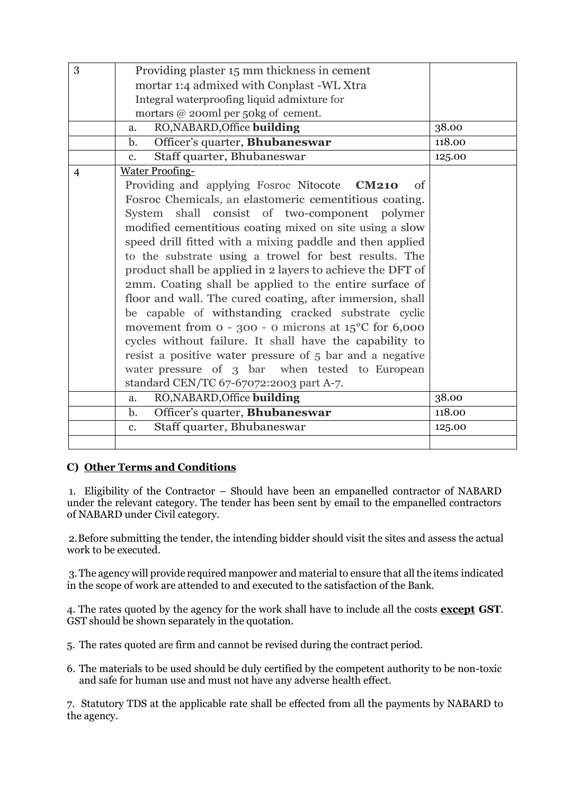| 3 | Providing plaster 15 mm thickness in cement                     |        |
|---|-----------------------------------------------------------------|--------|
|   | mortar 1:4 admixed with Conplast -WL Xtra                       |        |
|   | Integral waterproofing liquid admixture for                     |        |
|   | mortars @ 200ml per 50kg of cement.                             |        |
|   | RO, NABARD, Office building<br>a.                               | 38.00  |
|   | Officer's quarter, Bhubaneswar<br>b.                            | 118.00 |
|   | Staff quarter, Bhubaneswar<br>$c_{\cdot}$                       | 125.00 |
| 4 | <b>Water Proofing-</b>                                          |        |
|   | Providing and applying Fosroc Nitocote CM210<br>of              |        |
|   | Fosroc Chemicals, an elastomeric cementitious coating.          |        |
|   | System shall consist of two-component polymer                   |        |
|   | modified cementitious coating mixed on site using a slow        |        |
|   | speed drill fitted with a mixing paddle and then applied        |        |
|   | to the substrate using a trowel for best results. The           |        |
|   | product shall be applied in 2 layers to achieve the DFT of      |        |
|   | 2mm. Coating shall be applied to the entire surface of          |        |
|   | floor and wall. The cured coating, after immersion, shall       |        |
|   | be capable of withstanding cracked substrate cyclic             |        |
|   | movement from $o - 300 - o$ microns at $15^{\circ}$ C for 6,000 |        |
|   | cycles without failure. It shall have the capability to         |        |
|   | resist a positive water pressure of 5 bar and a negative        |        |
|   | water pressure of 3 bar when tested to European                 |        |
|   | standard CEN/TC 67-67072:2003 part A-7.                         |        |
|   | RO, NABARD, Office building<br>a.                               | 38.00  |
|   | Officer's quarter, Bhubaneswar<br>$\mathbf{b}$ .                | 118.00 |
|   | Staff quarter, Bhubaneswar<br>c.                                | 125.00 |
|   |                                                                 |        |

### **C) Other Terms and Conditions**

1. Eligibility of the Contractor – Should have been an empanelled contractor of NABARD under the relevant category. The tender has been sent by email to the empanelled contractors of NABARD under Civil category.

2.Before submitting the tender, the intending bidder should visit the sites and assess the actual work to be executed.

3.The agency will provide required manpower and material to ensure that all the items indicated in the scope of work are attended to and executed to the satisfaction of the Bank.

4. The rates quoted by the agency for the work shall have to include all the costs **except GST**. GST should be shown separately in the quotation.

5. The rates quoted are firm and cannot be revised during the contract period.

6. The materials to be used should be duly certified by the competent authority to be non-toxic and safe for human use and must not have any adverse health effect.

7. Statutory TDS at the applicable rate shall be effected from all the payments by NABARD to the agency.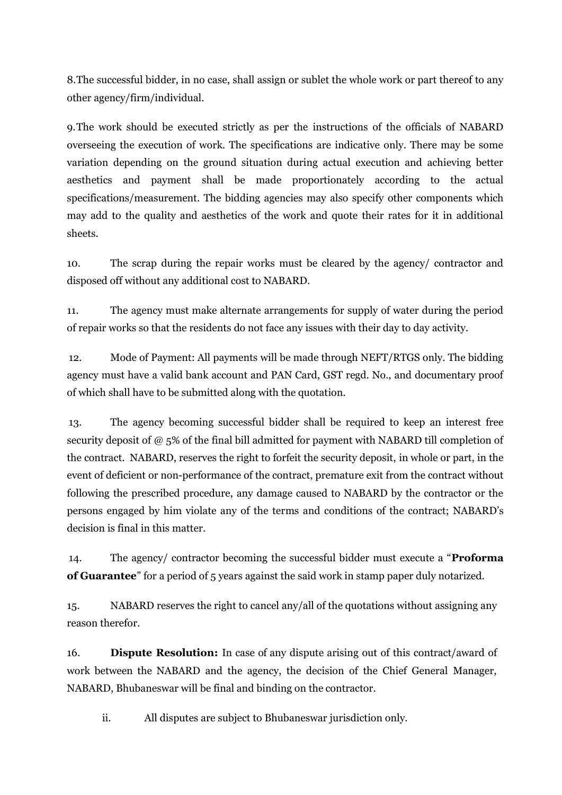8.The successful bidder, in no case, shall assign or sublet the whole work or part thereof to any other agency/firm/individual.

9.The work should be executed strictly as per the instructions of the officials of NABARD overseeing the execution of work. The specifications are indicative only. There may be some variation depending on the ground situation during actual execution and achieving better aesthetics and payment shall be made proportionately according to the actual specifications/measurement. The bidding agencies may also specify other components which may add to the quality and aesthetics of the work and quote their rates for it in additional sheets.

10. The scrap during the repair works must be cleared by the agency/ contractor and disposed off without any additional cost to NABARD.

11. The agency must make alternate arrangements for supply of water during the period of repair works so that the residents do not face any issues with their day to day activity.

12. Mode of Payment: All payments will be made through NEFT/RTGS only. The bidding agency must have a valid bank account and PAN Card, GST regd. No., and documentary proof of which shall have to be submitted along with the quotation.

13. The agency becoming successful bidder shall be required to keep an interest free security deposit of @ 5% of the final bill admitted for payment with NABARD till completion of the contract. NABARD, reserves the right to forfeit the security deposit, in whole or part, in the event of deficient or non-performance of the contract, premature exit from the contract without following the prescribed procedure, any damage caused to NABARD by the contractor or the persons engaged by him violate any of the terms and conditions of the contract; NABARD's decision is final in this matter.

14. The agency/ contractor becoming the successful bidder must execute a "**Proforma of Guarantee**" for a period of 5 years against the said work in stamp paper duly notarized.

15. NABARD reserves the right to cancel any/all of the quotations without assigning any reason therefor.

16. **Dispute Resolution:** In case of any dispute arising out of this contract/award of work between the NABARD and the agency, the decision of the Chief General Manager, NABARD, Bhubaneswar will be final and binding on the contractor.

ii. All disputes are subject to Bhubaneswar jurisdiction only.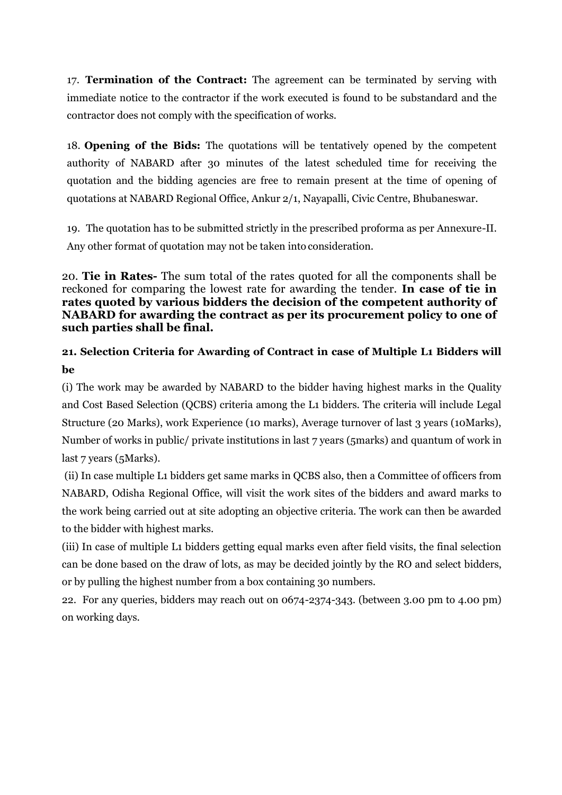17. **Termination of the Contract:** The agreement can be terminated by serving with immediate notice to the contractor if the work executed is found to be substandard and the contractor does not comply with the specification of works.

18. **Opening of the Bids:** The quotations will be tentatively opened by the competent authority of NABARD after 30 minutes of the latest scheduled time for receiving the quotation and the bidding agencies are free to remain present at the time of opening of quotations at NABARD Regional Office, Ankur 2/1, Nayapalli, Civic Centre, Bhubaneswar.

19. The quotation has to be submitted strictly in the prescribed proforma as per Annexure-II. Any other format of quotation may not be taken into consideration.

20. **Tie in Rates-** The sum total of the rates quoted for all the components shall be reckoned for comparing the lowest rate for awarding the tender. **In case of tie in rates quoted by various bidders the decision of the competent authority of NABARD for awarding the contract as per its procurement policy to one of such parties shall be final.**

## **21. Selection Criteria for Awarding of Contract in case of Multiple L1 Bidders will be**

(i) The work may be awarded by NABARD to the bidder having highest marks in the Quality and Cost Based Selection (QCBS) criteria among the L1 bidders. The criteria will include Legal Structure (20 Marks), work Experience (10 marks), Average turnover of last 3 years (10Marks), Number of works in public/ private institutions in last 7 years (5marks) and quantum of work in last 7 years (5Marks).

(ii) In case multiple L1 bidders get same marks in QCBS also, then a Committee of officers from NABARD, Odisha Regional Office, will visit the work sites of the bidders and award marks to the work being carried out at site adopting an objective criteria. The work can then be awarded to the bidder with highest marks.

(iii) In case of multiple L1 bidders getting equal marks even after field visits, the final selection can be done based on the draw of lots, as may be decided jointly by the RO and select bidders, or by pulling the highest number from a box containing 30 numbers.

22. For any queries, bidders may reach out on 0674-2374-343. (between 3.00 pm to 4.00 pm) on working days.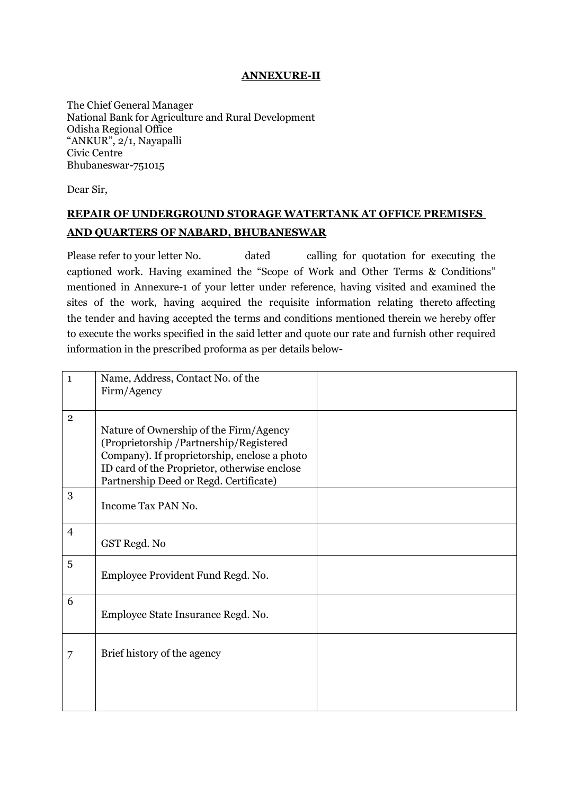### **ANNEXURE-II**

The Chief General Manager National Bank for Agriculture and Rural Development Odisha Regional Office "ANKUR", 2/1, Nayapalli Civic Centre Bhubaneswar-751015

Dear Sir,

## **REPAIR OF UNDERGROUND STORAGE WATERTANK AT OFFICE PREMISES AND QUARTERS OF NABARD, BHUBANESWAR**

Please refer to your letter No. dated calling for quotation for executing the captioned work. Having examined the "Scope of Work and Other Terms & Conditions" mentioned in Annexure-1 of your letter under reference, having visited and examined the sites of the work, having acquired the requisite information relating thereto affecting the tender and having accepted the terms and conditions mentioned therein we hereby offer to execute the works specified in the said letter and quote our rate and furnish other required information in the prescribed proforma as per details below-

| $\mathbf{1}$   | Name, Address, Contact No. of the<br>Firm/Agency                                                                                                                                                                           |  |
|----------------|----------------------------------------------------------------------------------------------------------------------------------------------------------------------------------------------------------------------------|--|
|                |                                                                                                                                                                                                                            |  |
| $\overline{2}$ | Nature of Ownership of the Firm/Agency<br>(Proprietorship/Partnership/Registered<br>Company). If proprietorship, enclose a photo<br>ID card of the Proprietor, otherwise enclose<br>Partnership Deed or Regd. Certificate) |  |
| 3              | Income Tax PAN No.                                                                                                                                                                                                         |  |
| $\overline{4}$ | GST Regd. No                                                                                                                                                                                                               |  |
| 5              | Employee Provident Fund Regd. No.                                                                                                                                                                                          |  |
| 6              | Employee State Insurance Regd. No.                                                                                                                                                                                         |  |
| 7              | Brief history of the agency                                                                                                                                                                                                |  |
|                |                                                                                                                                                                                                                            |  |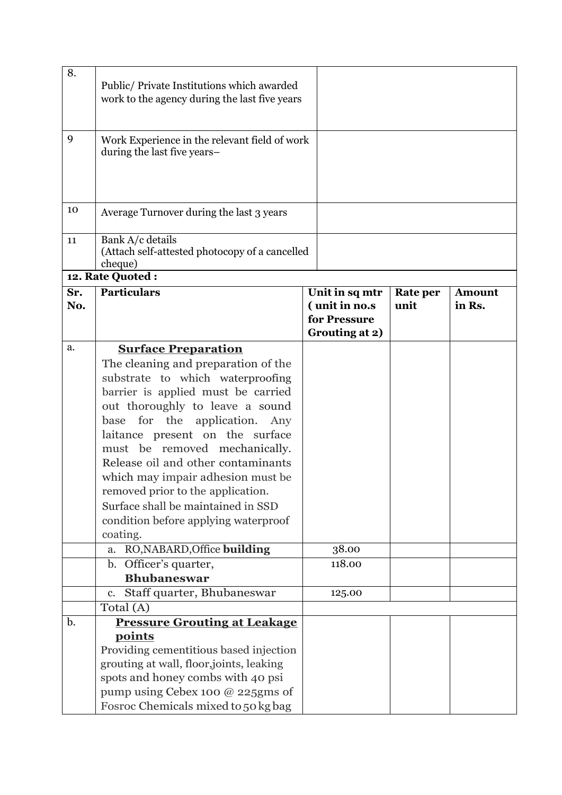| 8.             | Public/Private Institutions which awarded<br>work to the agency during the last five years                                                                                                                                                                                                                                                                                                                                                                         |                                                                   |                         |                         |
|----------------|--------------------------------------------------------------------------------------------------------------------------------------------------------------------------------------------------------------------------------------------------------------------------------------------------------------------------------------------------------------------------------------------------------------------------------------------------------------------|-------------------------------------------------------------------|-------------------------|-------------------------|
| 9              | Work Experience in the relevant field of work<br>during the last five years-                                                                                                                                                                                                                                                                                                                                                                                       |                                                                   |                         |                         |
| 10             | Average Turnover during the last 3 years                                                                                                                                                                                                                                                                                                                                                                                                                           |                                                                   |                         |                         |
| 11             | Bank A/c details<br>(Attach self-attested photocopy of a cancelled<br>cheque)                                                                                                                                                                                                                                                                                                                                                                                      |                                                                   |                         |                         |
|                | 12. Rate Quoted:                                                                                                                                                                                                                                                                                                                                                                                                                                                   |                                                                   |                         |                         |
| Sr.<br>No.     | <b>Particulars</b>                                                                                                                                                                                                                                                                                                                                                                                                                                                 | Unit in sq mtr<br>(unit in no.s<br>for Pressure<br>Grouting at 2) | <b>Rate per</b><br>unit | <b>Amount</b><br>in Rs. |
| a.             | <b>Surface Preparation</b>                                                                                                                                                                                                                                                                                                                                                                                                                                         |                                                                   |                         |                         |
|                | The cleaning and preparation of the<br>substrate to which waterproofing<br>barrier is applied must be carried<br>out thoroughly to leave a sound<br>for the application. Any<br>base<br>laitance present on the surface<br>must be removed mechanically.<br>Release oil and other contaminants<br>which may impair adhesion must be<br>removed prior to the application.<br>Surface shall be maintained in SSD<br>condition before applying waterproof<br>coating. |                                                                   |                         |                         |
|                | RO, NABARD, Office building<br>a.                                                                                                                                                                                                                                                                                                                                                                                                                                  | 38.00                                                             |                         |                         |
|                | b. Officer's quarter,<br><b>Bhubaneswar</b>                                                                                                                                                                                                                                                                                                                                                                                                                        | 118.00                                                            |                         |                         |
|                | Staff quarter, Bhubaneswar<br>$\mathbf{c}$ .                                                                                                                                                                                                                                                                                                                                                                                                                       | 125.00                                                            |                         |                         |
|                | Total (A)                                                                                                                                                                                                                                                                                                                                                                                                                                                          |                                                                   |                         |                         |
| $\mathbf{b}$ . | <b>Pressure Grouting at Leakage</b>                                                                                                                                                                                                                                                                                                                                                                                                                                |                                                                   |                         |                         |
|                | points<br>Providing cementitious based injection<br>grouting at wall, floor, joints, leaking<br>spots and honey combs with 40 psi<br>pump using Cebex 100 @ 225gms of<br>Fosroc Chemicals mixed to 50 kg bag                                                                                                                                                                                                                                                       |                                                                   |                         |                         |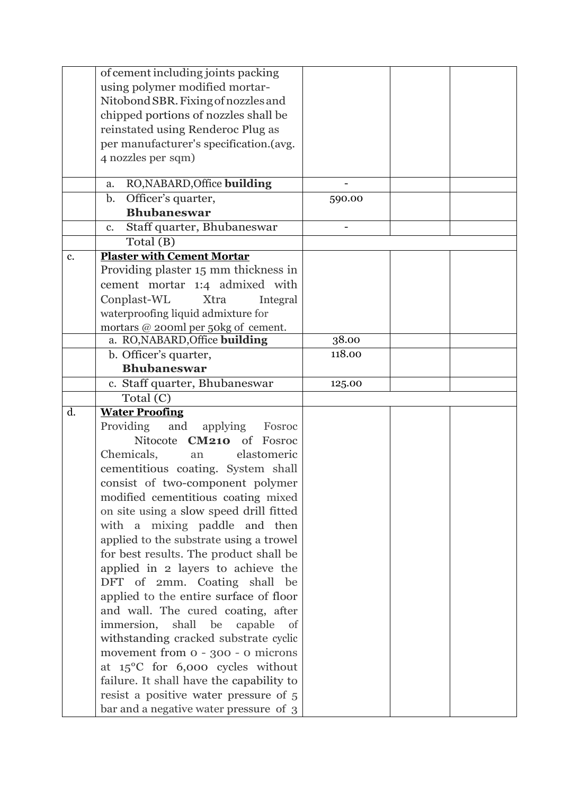|                | of cement including joints packing                                              |        |  |
|----------------|---------------------------------------------------------------------------------|--------|--|
|                | using polymer modified mortar-                                                  |        |  |
|                | Nitobond SBR. Fixing of nozzles and                                             |        |  |
|                | chipped portions of nozzles shall be                                            |        |  |
|                | reinstated using Renderoc Plug as                                               |        |  |
|                | per manufacturer's specification.(avg.                                          |        |  |
|                | 4 nozzles per sqm)                                                              |        |  |
|                |                                                                                 |        |  |
|                | RO, NABARD, Office building<br>a.                                               |        |  |
|                | Officer's quarter,<br>$\mathbf{b}$ .                                            | 590.00 |  |
|                | <b>Bhubaneswar</b>                                                              |        |  |
|                | Staff quarter, Bhubaneswar<br>c.                                                |        |  |
|                | Total (B)                                                                       |        |  |
| c.             | <b>Plaster with Cement Mortar</b>                                               |        |  |
|                | Providing plaster 15 mm thickness in                                            |        |  |
|                | cement mortar 1:4 admixed with                                                  |        |  |
|                | Conplast-WL<br>Xtra<br>Integral                                                 |        |  |
|                | waterproofing liquid admixture for                                              |        |  |
|                | mortars @ 200ml per 50kg of cement.                                             |        |  |
|                | a. RO, NABARD, Office building                                                  | 38.00  |  |
|                | b. Officer's quarter,                                                           | 118.00 |  |
|                | <b>Bhubaneswar</b>                                                              |        |  |
|                | c. Staff quarter, Bhubaneswar                                                   | 125.00 |  |
|                |                                                                                 |        |  |
|                | Total (C)                                                                       |        |  |
| $\mathbf{d}$ . |                                                                                 |        |  |
|                | <b>Water Proofing</b><br>Providing                                              |        |  |
|                | and applying<br>Fosroc<br>Nitocote CM210 of Fosroc                              |        |  |
|                | an                                                                              |        |  |
|                | Chemicals,<br>elastomeric                                                       |        |  |
|                | cementitious coating. System shall                                              |        |  |
|                | consist of two-component polymer                                                |        |  |
|                | modified cementitious coating mixed                                             |        |  |
|                | on site using a slow speed drill fitted                                         |        |  |
|                | with a mixing paddle and then                                                   |        |  |
|                | applied to the substrate using a trowel                                         |        |  |
|                | for best results. The product shall be                                          |        |  |
|                | applied in 2 layers to achieve the                                              |        |  |
|                | DFT of 2mm. Coating shall<br>be                                                 |        |  |
|                | applied to the entire surface of floor                                          |        |  |
|                | and wall. The cured coating, after                                              |        |  |
|                | immersion,<br>shall<br>capable<br>be<br>of                                      |        |  |
|                | withstanding cracked substrate cyclic                                           |        |  |
|                | movement from 0 - 300 - 0 microns                                               |        |  |
|                | at $15^{\circ}$ C for 6,000 cycles without                                      |        |  |
|                | failure. It shall have the capability to                                        |        |  |
|                | resist a positive water pressure of 5<br>bar and a negative water pressure of 3 |        |  |